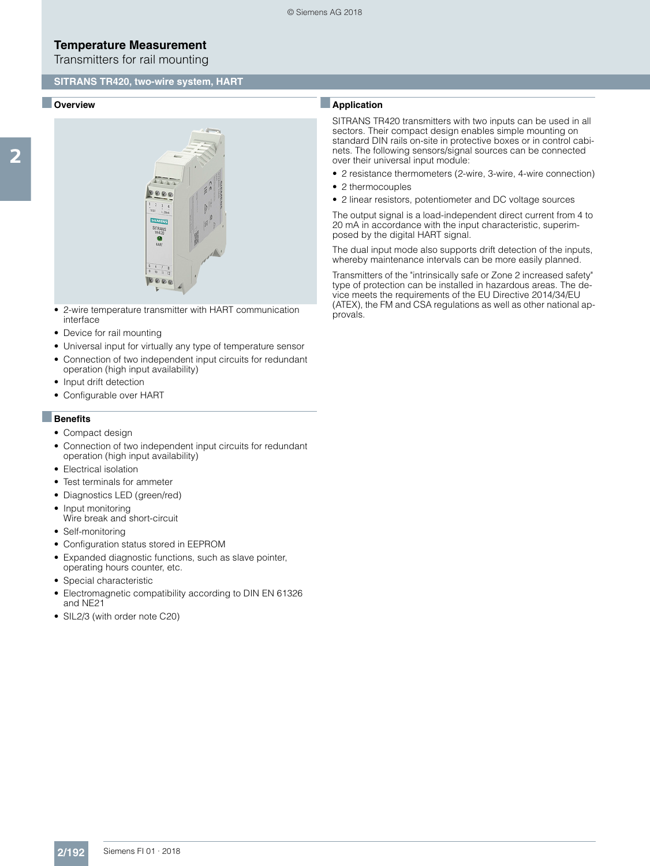Transmitters for rail mounting

#### **SITRANS TR420, two-wire system, HART**

#### ■ **Overview**



- 2-wire temperature transmitter with HART communication interface
- Device for rail mounting
- Universal input for virtually any type of temperature sensor
- Connection of two independent input circuits for redundant operation (high input availability)
- Input drift detection
- Configurable over HART

#### ■**Benefits**

- Compact design
- Connection of two independent input circuits for redundant operation (high input availability)
- Electrical isolation
- Test terminals for ammeter
- Diagnostics LED (green/red)
- Input monitoring Wire break and short-circuit
- Self-monitoring
- Configuration status stored in EEPROM
- Expanded diagnostic functions, such as slave pointer, operating hours counter, etc.
- Special characteristic
- Electromagnetic compatibility according to DIN EN 61326 and NE21
- SIL2/3 (with order note C20)

## ■**Application**

SITRANS TR420 transmitters with two inputs can be used in all sectors. Their compact design enables simple mounting on standard DIN rails on-site in protective boxes or in control cabinets. The following sensors/signal sources can be connected over their universal input module:

- 2 resistance thermometers (2-wire, 3-wire, 4-wire connection)
- 2 thermocouples
- 2 linear resistors, potentiometer and DC voltage sources

The output signal is a load-independent direct current from 4 to 20 mA in accordance with the input characteristic, superimposed by the digital HART signal.

The dual input mode also supports drift detection of the inputs, whereby maintenance intervals can be more easily planned.

Transmitters of the "intrinsically safe or Zone 2 increased safety" type of protection can be installed in hazardous areas. The device meets the requirements of the EU Directive 2014/34/EU (ATEX), the FM and CSA regulations as well as other national approvals.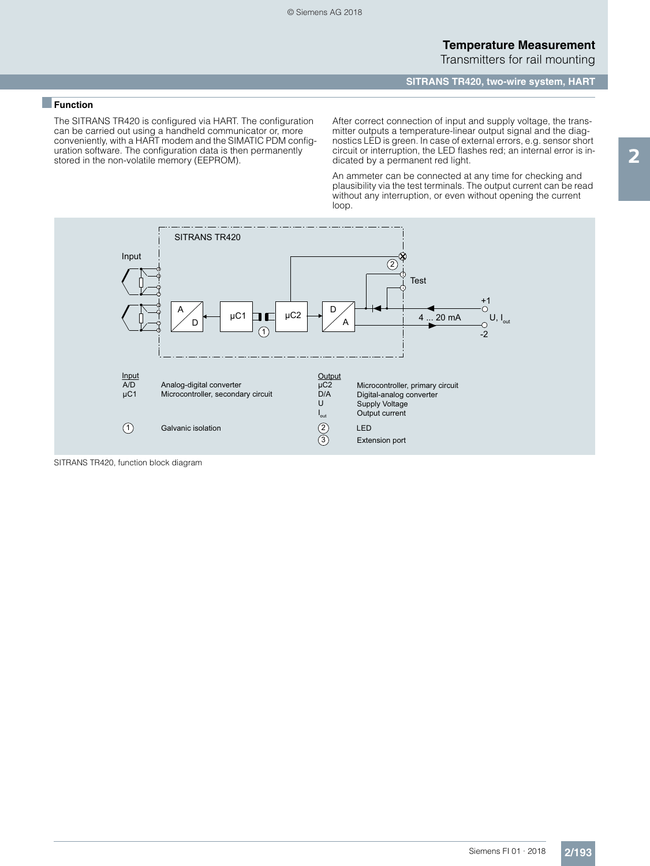**SITRANS TR420, two-wire system, HART**

### ■**Function**

The SITRANS TR420 is configured via HART. The configuration can be carried out using a handheld communicator or, more conveniently, with a HART modem and the SIMATIC PDM configuration software. The configuration data is then permanently stored in the non-volatile memory (EEPROM).

After correct connection of input and supply voltage, the transmitter outputs a temperature-linear output signal and the diagnostics LED is green. In case of external errors, e.g. sensor short circuit or interruption, the LED flashes red; an internal error is indicated by a permanent red light.

An ammeter can be connected at any time for checking and plausibility via the test terminals. The output current can be read without any interruption, or even without opening the current loop.



SITRANS TR420, function block diagram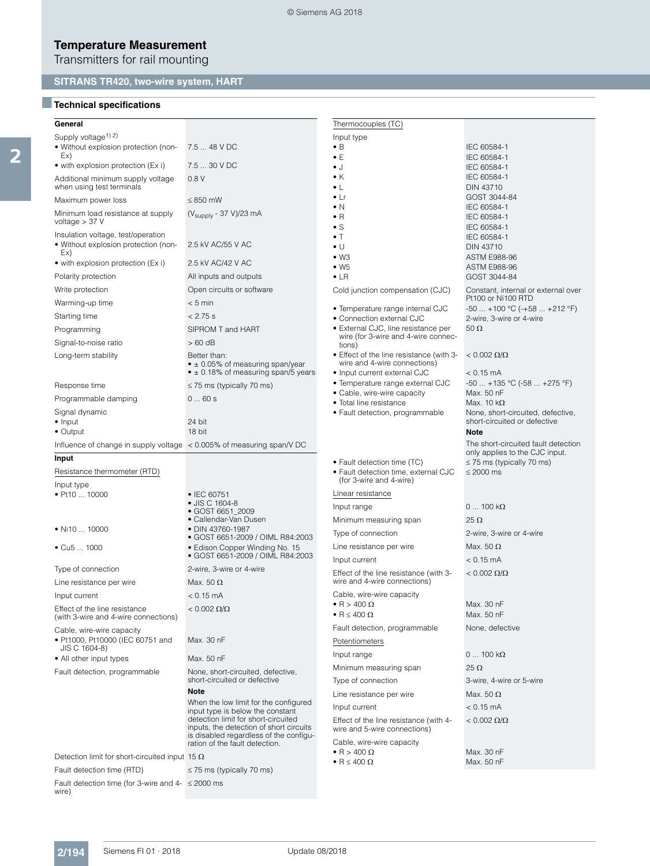Transmitters for rail mounting

# **SITRANS TR420, two-wire system, HART**

# ■**Technical specifications**

| General                                                                           |                                                                                   | Thermocouples (TC)                                                         |                                                           |
|-----------------------------------------------------------------------------------|-----------------------------------------------------------------------------------|----------------------------------------------------------------------------|-----------------------------------------------------------|
| Supply voltage <sup>1)</sup> <sup>2)</sup>                                        |                                                                                   | Input type                                                                 |                                                           |
| • Without explosion protection (non-                                              | 7.5  48 V DC                                                                      | $\bullet$ B                                                                | IEC 60584-1                                               |
| Ex)                                                                               |                                                                                   | $\bullet$ E                                                                | IEC 60584-1                                               |
| • with explosion protection (Ex i)                                                | 7.5  30 V DC                                                                      | ل •                                                                        | IEC 60584-1                                               |
| Additional minimum supply voltage<br>when using test terminals                    | 0.8V                                                                              | $\bullet$ K<br>$\bullet$ L                                                 | IEC 60584-1<br>DIN 43710                                  |
| Maximum power loss                                                                | $\leq$ 850 mW                                                                     | $\bullet$ Lr                                                               | GOST 3044-84                                              |
| Minimum load resistance at supply<br>voltage $>$ 37 V                             | (V <sub>supply</sub> - 37 V)/23 mA                                                | $\bullet$ N<br>$\bullet$ R                                                 | IEC 60584-1<br>IEC 60584-1                                |
| Insulation voltage, test/operation<br>• Without explosion protection (non-<br>Ex) | 2.5 kV AC/55 V AC                                                                 | $\bullet$ S<br>$\bullet$ T<br>$\bullet$ U                                  | IEC 60584-1<br>IEC 60584-1<br><b>DIN 43710</b>            |
| • with explosion protection (Ex i)                                                | 2.5 kV AC/42 V AC                                                                 | $\bullet$ W <sub>3</sub><br>$\bullet$ W <sub>5</sub>                       | ASTM E988-96                                              |
| Polarity protection                                                               | All inputs and outputs                                                            | $\bullet$ LR                                                               | ASTM E988-96<br>GOST 3044-84                              |
| Write protection                                                                  | Open circuits or software                                                         | Cold junction compensation (CJC)                                           | Constant, internal or external over                       |
| Warming-up time                                                                   | $< 5$ min                                                                         |                                                                            | Pt100 or Ni100 RTD                                        |
|                                                                                   | $< 2.75$ s                                                                        | • Temperature range internal CJC                                           | $-50$ $+100$ °C ( $-+58$ $+212$ °F)                       |
| Starting time                                                                     |                                                                                   | • Connection external CJC                                                  | 2-wire, 3-wire or 4-wire<br>$50 \Omega$                   |
| Programming                                                                       | SIPROM T and HART                                                                 | • External CJC, line resistance per<br>wire (for 3-wire and 4-wire connec- |                                                           |
| Signal-to-noise ratio                                                             | $>60$ dB                                                                          | tions)                                                                     |                                                           |
| Long-term stability                                                               | Better than:<br>$\bullet$ ± 0.05% of measuring span/year                          | • Effect of the line resistance (with 3-<br>wire and 4-wire connections)   | $< 0.002 \Omega/\Omega$                                   |
|                                                                                   | $\bullet$ ± 0.18% of measuring span/5 years                                       | • Input current external CJC<br>· Temperature range external CJC           | $< 0.15 \text{ mA}$<br>$-50$ $+135$ °C ( $-58$ $+275$ °F) |
| Response time                                                                     | $\leq$ 75 ms (typically 70 ms)                                                    | • Cable, wire-wire capacity                                                | Max. 50 nF                                                |
| Programmable damping                                                              | 060s                                                                              | • Total line resistance                                                    | Max. 10 $k\Omega$                                         |
| Signal dynamic                                                                    |                                                                                   | • Fault detection, programmable                                            | None, short-circuited, defective,                         |
| $\bullet$ Input<br>$\bullet$ Output                                               | 24 bit<br>18 bit                                                                  |                                                                            | short-circuited or defective<br><b>Note</b>               |
|                                                                                   |                                                                                   |                                                                            | The short-circuited fault detection                       |
| Influence of change in supply voltage $\alpha$ < 0.005% of measuring span/V DC    |                                                                                   |                                                                            | only applies to the CJC input.                            |
| Input                                                                             |                                                                                   | • Fault detection time (TC)                                                | $\leq$ 75 ms (typically 70 ms)                            |
| Resistance thermometer (RTD)<br>Input type                                        |                                                                                   | • Fault detection time, external CJC<br>(for 3-wire and 4-wire)            | $\leq 2000$ ms                                            |
| • Pt10  10000                                                                     | • IEC 60751                                                                       | Linear resistance                                                          |                                                           |
|                                                                                   | • JIS C 1604-8<br>• GOST 6651_2009                                                | Input range                                                                | $0100 k\Omega$                                            |
|                                                                                   | • Callendar-Van Dusen                                                             | Minimum measuring span                                                     | 25 $\Omega$                                               |
| • Ni10 $\dots$ 10000                                                              | • DIN 43760-1987<br>• GOST 6651-2009 / OIML R84:2003                              | Type of connection                                                         | 2-wire, 3-wire or 4-wire                                  |
| $\bullet$ Cu5  1000                                                               | · Edison Copper Winding No. 15                                                    | Line resistance per wire                                                   | Max. $50 \Omega$                                          |
|                                                                                   | • GOST 6651-2009 / OIML R84:2003                                                  | Input current                                                              | $< 0.15$ mA                                               |
| Type of connection                                                                | 2-wire, 3-wire or 4-wire                                                          | Effect of the line resistance (with 3-                                     | $< 0.002 \Omega/\Omega$                                   |
| Line resistance per wire                                                          | Max. 50 $\Omega$                                                                  | wire and 4-wire connections)                                               |                                                           |
| Input current                                                                     | $< 0.15$ mA                                                                       | Cable, wire-wire capacity                                                  |                                                           |
| Effect of the line resistance<br>(with 3-wire and 4-wire connections)             | $< 0.002 \Omega/\Omega$                                                           | $\bullet$ R $>$ 400 $\Omega$<br>• R $\leq 400 \Omega$                      | Max. 30 nF<br>Max. 50 nF                                  |
| Cable, wire-wire capacity                                                         |                                                                                   | Fault detection, programmable                                              | None, defective                                           |
| • Pt1000, Pt10000 (IEC 60751 and                                                  | Max. 30 nF                                                                        | Potentiometers                                                             |                                                           |
| JIS C 1604-8)                                                                     |                                                                                   | Input range                                                                | $0100 k\Omega$                                            |
| • All other input types                                                           | Max. 50 nF                                                                        | Minimum measuring span                                                     | $25 \Omega$                                               |
| Fault detection, programmable                                                     | None, short-circuited, defective,<br>short-circuited or defective                 | Type of connection                                                         | 3-wire, 4-wire or 5-wire                                  |
|                                                                                   | <b>Note</b>                                                                       | Line resistance per wire                                                   | Max. 50 $\Omega$                                          |
|                                                                                   | When the low limit for the configured                                             |                                                                            |                                                           |
|                                                                                   | input type is below the constant<br>detection limit for short-circuited           | Input current                                                              | $< 0.15$ mA                                               |
|                                                                                   | inputs, the detection of short circuits<br>is disabled regardless of the configu- | Effect of the line resistance (with 4-<br>wire and 5-wire connections)     | $< 0.002 \Omega/\Omega$                                   |
|                                                                                   | ration of the fault detection.                                                    | Cable, wire-wire capacity                                                  |                                                           |
| Detection limit for short-circuited input 15 $\Omega$                             |                                                                                   | $\bullet$ R > 400 $\Omega$                                                 | Max. 30 nF                                                |
| Fault detection time (RTD)                                                        | $\leq$ 75 ms (typically 70 ms)                                                    | • R $\leq 400 \Omega$                                                      | Max. 50 nF                                                |
| Fault detection time (for 3-wire and $4 - \leq 2000$ ms<br>wire)                  |                                                                                   |                                                                            |                                                           |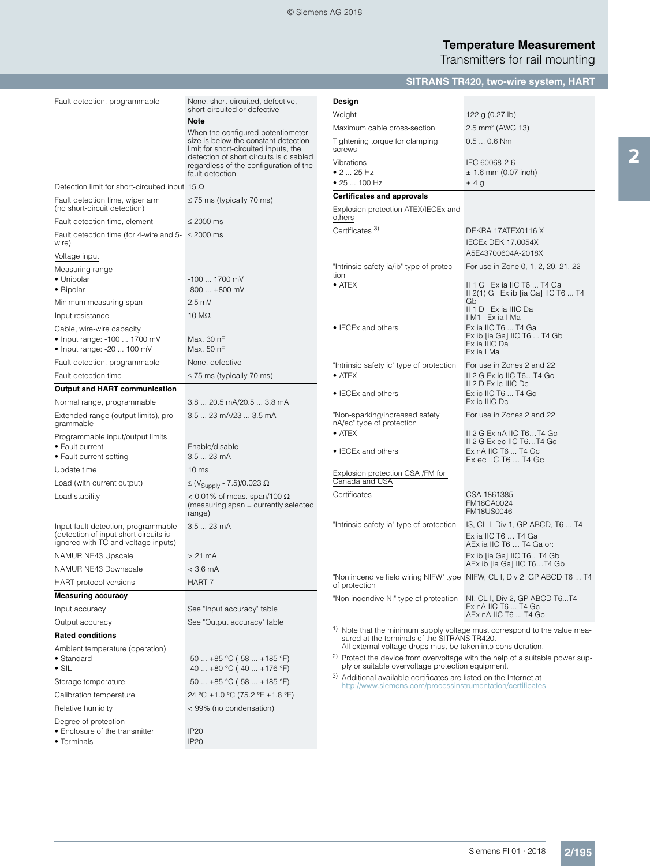### © Siemens AG 2018

# **Temperature Measurement**

Transmitters for rail mounting

# **SITRANS TR420, two-wire system, HART**

| Fault detection, programmable                                                | None, short-circuited, defective,<br>short-circuited or defective                                                        | Design                                                                                                            |                                                                                          |
|------------------------------------------------------------------------------|--------------------------------------------------------------------------------------------------------------------------|-------------------------------------------------------------------------------------------------------------------|------------------------------------------------------------------------------------------|
|                                                                              | <b>Note</b>                                                                                                              | Weight                                                                                                            | 122 g $(0.27 \text{ lb})$                                                                |
|                                                                              | When the configured potentiometer                                                                                        | Maximum cable cross-section                                                                                       | 2.5 mm <sup>2</sup> (AWG 13)                                                             |
|                                                                              | size is below the constant detection<br>limit for short-circuited inputs, the<br>detection of short circuits is disabled | Tightening torque for clamping<br>screws                                                                          | $0.50.6$ Nm                                                                              |
|                                                                              | regardless of the configuration of the                                                                                   | Vibrations                                                                                                        | IEC 60068-2-6                                                                            |
|                                                                              | fault detection.                                                                                                         | • 2  25 Hz<br>• 25  100 Hz                                                                                        | $± 1.6$ mm (0.07 inch)<br>±4g                                                            |
| Detection limit for short-circuited input 15 $\Omega$                        |                                                                                                                          | <b>Certificates and approvals</b>                                                                                 |                                                                                          |
| Fault detection time, wiper arm<br>(no short-circuit detection)              | $\leq$ 75 ms (typically 70 ms)                                                                                           | Explosion protection ATEX/IECEx and                                                                               |                                                                                          |
| Fault detection time, element                                                | $< 2000 \text{ ms}$                                                                                                      | others                                                                                                            |                                                                                          |
| Fault detection time (for 4-wire and $5 - \le 2000$ ms<br>wire)              |                                                                                                                          | Certificates <sup>3)</sup>                                                                                        | DEKRA 17ATEX0116 X<br>IECEx DEK 17.0054X                                                 |
| Voltage input                                                                |                                                                                                                          |                                                                                                                   | A5E43700604A-2018X                                                                       |
| Measuring range                                                              |                                                                                                                          | "Intrinsic safety ia/ib" type of protec-                                                                          | For use in Zone 0, 1, 2, 20, 21, 22                                                      |
| • Unipolar<br>• Bipolar                                                      | -100  1700 mV<br>$-800+800$ mV                                                                                           | tion<br>$\bullet$ ATEX                                                                                            | II 1 G Exia IIC T6  T4 Ga<br>$  2(1) G$ Ex ib [ia Ga] IIC T6  T4                         |
| Minimum measuring span                                                       | $2.5$ mV                                                                                                                 |                                                                                                                   | Gb                                                                                       |
| Input resistance                                                             | 10 $M\Omega$                                                                                                             |                                                                                                                   | II 1 D Exia IIIC Da<br>IM1 ExialMa                                                       |
| Cable, wire-wire capacity                                                    |                                                                                                                          | • IECEx and others                                                                                                | Ex ia IIC T6  T4 Ga                                                                      |
| • Input range: -100  1700 mV                                                 | Max. 30 nF                                                                                                               |                                                                                                                   | Ex ib [ia Ga] IIC T6  T4 Gb<br>Ex ia IIIC Da                                             |
| • Input range: -20  100 mV                                                   | Max. 50 nF                                                                                                               |                                                                                                                   | Ex ia I Ma                                                                               |
| Fault detection, programmable                                                | None, defective                                                                                                          | "Intrinsic safety ic" type of protection                                                                          | For use in Zones 2 and 22                                                                |
| Fault detection time                                                         | $\leq$ 75 ms (typically 70 ms)                                                                                           | $\bullet$ ATEX                                                                                                    | II 2 G Ex ic IIC T6T4 Gc<br>II 2 D Ex ic IIIC Dc                                         |
| <b>Output and HART communication</b>                                         |                                                                                                                          | • IECEx and others                                                                                                | Ex ic IIC T6  T4 Gc                                                                      |
| Normal range, programmable                                                   | 3.8  20.5 mA/20.5  3.8 mA                                                                                                |                                                                                                                   | Ex ic IIIC Dc                                                                            |
| Extended range (output limits), pro-<br>grammable                            | 3.5  23 mA/23  3.5 mA                                                                                                    | "Non-sparking/increased safety<br>nA/ec" type of protection                                                       | For use in Zones 2 and 22                                                                |
| Programmable input/output limits                                             |                                                                                                                          | $\bullet$ ATEX                                                                                                    | II 2 G Ex nA IIC T6T4 Gc<br>II 2 G Ex ec IIC T6T4 Gc                                     |
| • Fault current                                                              | Enable/disable                                                                                                           | • IECEx and others                                                                                                | Ex nA IIC T6  T4 Gc                                                                      |
| • Fault current setting                                                      | 3.5  23 mA                                                                                                               |                                                                                                                   | $Ex$ ec IIC T6 $$ T4 Gc                                                                  |
| Update time                                                                  | 10 <sub>ms</sub>                                                                                                         | Explosion protection CSA /FM for<br>Canada and USA                                                                |                                                                                          |
| Load (with current output)                                                   | $\leq$ (V <sub>Supply</sub> - 7.5)/0.023 $\Omega$                                                                        | Certificates                                                                                                      | CSA 1861385                                                                              |
| Load stability                                                               | < 0.01% of meas. span/100 $\Omega$<br>(measuring span = currently selected<br>range)                                     |                                                                                                                   | FM18CA0024<br><b>FM18US0046</b>                                                          |
| Input fault detection, programmable                                          | 3.5  23 mA                                                                                                               | "Intrinsic safety ia" type of protection                                                                          | IS, CL I, Div 1, GP ABCD, T6  T4                                                         |
| (detection of input short circuits is<br>ignored with TC and voltage inputs) |                                                                                                                          |                                                                                                                   | Ex ia IIC T6  T4 Ga<br>AEx ia IIC T6  T4 Ga or:                                          |
| NAMUR NE43 Upscale                                                           | $> 21 \text{ mA}$                                                                                                        |                                                                                                                   | Ex ib [ia Ga] IIC T6T4 Gb<br>AEx ib [ia Ga] IIC T6T4 Gb                                  |
| NAMUR NE43 Downscale                                                         | $<$ 3.6 mA                                                                                                               |                                                                                                                   | "Non incendive field wiring NIFW" type NIFW, CL I, Div 2, GP ABCD T6  T4                 |
| HART protocol versions                                                       | HART 7                                                                                                                   | of protection                                                                                                     |                                                                                          |
| <b>Measuring accuracy</b>                                                    |                                                                                                                          | "Non incendive NI" type of protection NI, CL I, Div 2, GP ABCD T6T4                                               |                                                                                          |
| Input accuracy                                                               | See "Input accuracy" table                                                                                               |                                                                                                                   | Ex nA IIC T6  T4 Gc<br>AEx nA IIC T6  T4 Gc                                              |
| Output accuracy                                                              | See "Output accuracy" table                                                                                              | 1)                                                                                                                | Note that the minimum supply voltage must correspond to the value mea-                   |
| <b>Rated conditions</b>                                                      |                                                                                                                          | sured at the terminals of the SITRANS TR420.                                                                      |                                                                                          |
| Ambient temperature (operation)<br>• Standard                                | $-50+85$ °C ( $-58+185$ °F)                                                                                              | All external voltage drops must be taken into consideration.<br>ply or suitable overvoltage protection equipment. | <sup>2)</sup> Protect the device from overvoltage with the help of a suitable power sup- |
| $\bullet$ SIL                                                                | $-40+80$ °C ( $-40+176$ °F)                                                                                              | 3) Additional available certificates are listed on the Internet at                                                |                                                                                          |
| Storage temperature                                                          | $-50$ $+85$ °C ( $-58$ $+185$ °F)                                                                                        | http://www.siemens.com/processinstrumentation/certificates                                                        |                                                                                          |
| Calibration temperature                                                      | 24 °C ± 1.0 °C (75.2 °F ± 1.8 °F)                                                                                        |                                                                                                                   |                                                                                          |
| Relative humidity                                                            | < 99% (no condensation)                                                                                                  |                                                                                                                   |                                                                                          |
| Degree of protection<br>• Enclosure of the transmitter<br>• Terminals        | <b>IP20</b><br><b>IP20</b>                                                                                               |                                                                                                                   |                                                                                          |
|                                                                              |                                                                                                                          |                                                                                                                   |                                                                                          |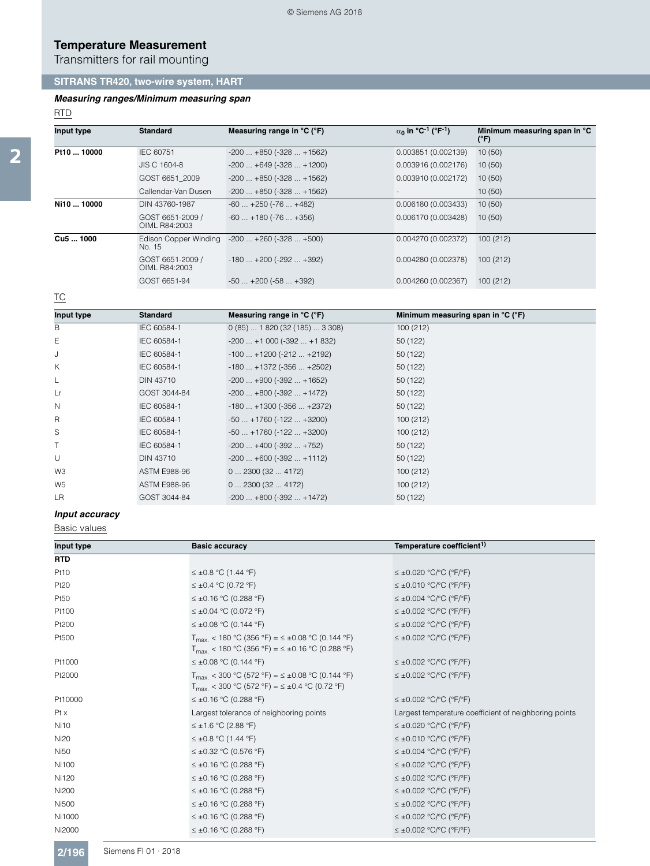Transmitters for rail mounting

# **SITRANS TR420, two-wire system, HART**

#### *Measuring ranges/Minimum measuring span*

#### RTD

| Input type           | <b>Standard</b>                   | Measuring range in °C (°F)       | $\alpha_0$ in °C <sup>-1</sup> (°F <sup>-1</sup> ) | Minimum measuring span in °C<br>(°F) |
|----------------------|-----------------------------------|----------------------------------|----------------------------------------------------|--------------------------------------|
| Pt10  10000          | IEC 60751                         | $-200$ $+850$ ( $-328$ $+1562$ ) | 0.003851(0.002139)                                 | 10(50)                               |
|                      | JIS C 1604-8                      | $-200$ $+649$ ( $-328$ $+1200$ ) | 0.003916(0.002176)                                 | 10(50)                               |
|                      | GOST 6651 2009                    | $-200$ $+850$ ( $-328$ $+1562$ ) | 0.003910 (0.002172)                                | 10(50)                               |
|                      | Callendar-Van Dusen               | $-200$ $+850$ ( $-328$ $+1562$ ) |                                                    | 10(50)                               |
| Ni10  10000          | DIN 43760-1987                    | $-60$ $+250$ ( $-76$ $+482$ )    | 0.006180 (0.003433)                                | 10(50)                               |
|                      | GOST 6651-2009 /<br>OIML R84:2003 | $-60$ $+180$ ( $-76$ $+356$ )    | 0.006170 (0.003428)                                | 10(50)                               |
| Cu <sub>5</sub> 1000 | Edison Copper Winding<br>No. 15   | $-200$ $+260$ ( $-328$ $+500$ )  | 0.004270 (0.002372)                                | 100(212)                             |
|                      | GOST 6651-2009 /<br>OIML R84:2003 | $-180$ $+200$ ( $-292$ $+392$ )  | 0.004280 (0.002378)                                | 100(212)                             |
|                      | GOST 6651-94                      | $-50$ $+200$ ( $-58$ $+392$ )    | 0.004260(0.002367)                                 | 100(212)                             |

## TC

| Input type     | <b>Standard</b>     | Measuring range in $^{\circ}$ C ( $^{\circ}$ F) | Minimum measuring span in ${}^{\circ}C$ ( ${}^{\circ}F$ ) |
|----------------|---------------------|-------------------------------------------------|-----------------------------------------------------------|
| В              | IEC 60584-1         | $0(85)$ 1 820 (32 (185)  3 308)                 | 100 (212)                                                 |
| Е              | IEC 60584-1         | $-200$ +1 000 ( $-392$ +1 832)                  | 50 (122)                                                  |
| J              | IEC 60584-1         | $-100$ $+1200$ ( $-212$ $+2192$ )               | 50 (122)                                                  |
| K              | IEC 60584-1         | $-180$ $+1372$ ( $-356$ $+2502$ )               | 50 (122)                                                  |
| L              | <b>DIN 43710</b>    | $-200$ $+900$ ( $-392$ $+1652$ )                | 50 (122)                                                  |
| Lr             | GOST 3044-84        | $-200$ $+800$ ( $-392$ $+1472$ )                | 50 (122)                                                  |
| $\mathbb N$    | IEC 60584-1         | $-180$ $+1300$ ( $-356$ $+2372$ )               | 50 (122)                                                  |
| R              | IEC 60584-1         | $-50 + 1760 (-122 + 3200)$                      | 100(212)                                                  |
| S              | IEC 60584-1         | $-50 + 1760 (-122 + 3200)$                      | 100(212)                                                  |
| $\top$         | IEC 60584-1         | $-200$ $+400$ ( $-392$ $+752$ )                 | 50 (122)                                                  |
| U              | DIN 43710           | $-200+600$ ( $-392+1112$ )                      | 50 (122)                                                  |
| W <sub>3</sub> | <b>ASTM E988-96</b> | 02300(324172)                                   | 100(212)                                                  |
| W <sub>5</sub> | <b>ASTM E988-96</b> | 02300(324172)                                   | 100(212)                                                  |
| LR             | GOST 3044-84        | $-200+800$ ( $-392+1472$ )                      | 50 (122)                                                  |

## *Input accuracy*

Basic values

| Input type  | <b>Basic accuracy</b>                                                                                                                    | Temperature coefficient <sup>1)</sup>                 |
|-------------|------------------------------------------------------------------------------------------------------------------------------------------|-------------------------------------------------------|
| <b>RTD</b>  |                                                                                                                                          |                                                       |
| Pt10        | $\leq$ ±0.8 °C (1.44 °F)                                                                                                                 | $\leq \pm 0.020$ °C/°C (°F/°F)                        |
| Pt20        | $\leq \pm 0.4$ °C (0.72 °F)                                                                                                              | $\leq \pm 0.010$ °C/°C (°F/°F)                        |
| Pt50        | $\leq \pm 0.16$ °C (0.288 °F)                                                                                                            | $\leq \pm 0.004$ °C/°C (°F/°F)                        |
| Pt100       | $\leq \pm 0.04$ °C (0.072 °F)                                                                                                            | $\leq \pm 0.002$ °C/°C (°F/°F)                        |
| Pt200       | $\leq \pm 0.08$ °C (0.144 °F)                                                                                                            | $\leq \pm 0.002$ °C/°C (°F/°F)                        |
| Pt500       | $T_{\text{max}}$ < 180 °C (356 °F) = $\leq \pm 0.08$ °C (0.144 °F)<br>$T_{\text{max}}$ < 180 °C (356 °F) = $\leq \pm 0.16$ °C (0.288 °F) | $\leq \pm 0.002$ °C/°C (°F/°F)                        |
| Pt1000      | $\leq \pm 0.08$ °C (0.144 °F)                                                                                                            | $\leq \pm 0.002$ °C/°C (°F/°F)                        |
| Pt2000      | $T_{\text{max}}$ < 300 °C (572 °F) = $\leq \pm 0.08$ °C (0.144 °F)<br>$T_{\text{max}}$ < 300 °C (572 °F) = $\leq \pm 0.4$ °C (0.72 °F)   | $\leq \pm 0.002$ °C/°C (°F/°F)                        |
| Pt10000     | $\leq \pm 0.16$ °C (0.288 °F)                                                                                                            | $\leq \pm 0.002$ °C/°C (°F/°F)                        |
| $Pt \times$ | Largest tolerance of neighboring points                                                                                                  | Largest temperature coefficient of neighboring points |
| <b>Ni10</b> | $\leq \pm 1.6$ °C (2.88 °F)                                                                                                              | $\leq \pm 0.020$ °C/°C (°F/°F)                        |
| Ni20        | $\leq$ ±0.8 °C (1.44 °F)                                                                                                                 | $\leq \pm 0.010$ °C/°C (°F/°F)                        |
| Ni50        | $\leq \pm 0.32$ °C (0.576 °F)                                                                                                            | $\leq \pm 0.004$ °C/°C (°F/°F)                        |
| Ni100       | $\leq \pm 0.16$ °C (0.288 °F)                                                                                                            | $\leq \pm 0.002$ °C/°C (°F/°F)                        |
| Ni120       | $\leq \pm 0.16$ °C (0.288 °F)                                                                                                            | $\leq \pm 0.002$ °C/°C (°F/°F)                        |
| Ni200       | $\leq \pm 0.16$ °C (0.288 °F)                                                                                                            | $\leq \pm 0.002$ °C/°C (°F/°F)                        |
| Ni500       | $\leq \pm 0.16$ °C (0.288 °F)                                                                                                            | $\leq \pm 0.002$ °C/°C (°F/°F)                        |
| Ni1000      | $\leq \pm 0.16$ °C (0.288 °F)                                                                                                            | $\leq \pm 0.002$ °C/°C (°F/°F)                        |
| Ni2000      | $\leq \pm 0.16$ °C (0.288 °F)                                                                                                            | $\leq \pm 0.002$ °C/°C (°F/°F)                        |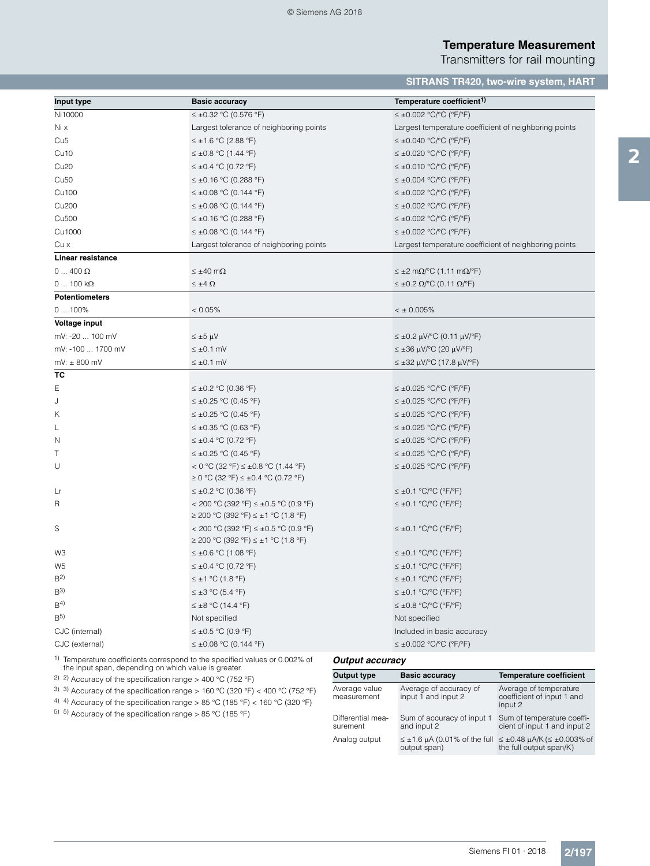Transmitters for rail mounting

# **SITRANS TR420, two-wire system, HART**

| Input type            | <b>Basic accuracy</b>                                                           | Temperature coefficient <sup>1)</sup>                               |
|-----------------------|---------------------------------------------------------------------------------|---------------------------------------------------------------------|
| Ni10000               | ≤ ±0.32 °C (0.576 °F)                                                           | $\leq \pm 0.002$ °C/°C (°F/°F)                                      |
| Ni x                  | Largest tolerance of neighboring points                                         | Largest temperature coefficient of neighboring points               |
| Cu <sub>5</sub>       | $\leq \pm 1.6$ °C (2.88 °F)                                                     | $\leq \pm 0.040$ °C/°C (°F/°F)                                      |
| Cu <sub>10</sub>      | $\leq$ ±0.8 °C (1.44 °F)                                                        | $\leq \pm 0.020$ °C/°C (°F/°F)                                      |
| Cu <sub>20</sub>      | $\leq$ ±0.4 °C (0.72 °F)                                                        | $\leq \pm 0.010$ °C/°C (°F/°F)                                      |
| Cu <sub>50</sub>      | $\leq \pm 0.16$ °C (0.288 °F)                                                   | $\leq \pm 0.004$ °C/°C (°F/°F)                                      |
| Cu100                 | $\leq \pm 0.08$ °C (0.144 °F)                                                   | $\leq \pm 0.002$ °C/°C (°F/°F)                                      |
| Cu200                 | $\leq \pm 0.08$ °C (0.144 °F)                                                   | $\leq \pm 0.002$ °C/°C (°F/°F)                                      |
| Cu500                 | $\leq \pm 0.16$ °C (0.288 °F)                                                   | $\leq \pm 0.002$ °C/°C (°F/°F)                                      |
| Cu1000                | $\leq$ ±0.08 °C (0.144 °F)                                                      | $\leq \pm 0.002$ °C/°C (°F/°F)                                      |
| Cu x                  | Largest tolerance of neighboring points                                         | Largest temperature coefficient of neighboring points               |
| Linear resistance     |                                                                                 |                                                                     |
| $0 \dots 400 \Omega$  | $\leq \pm 40$ m $\Omega$                                                        | $\leq \pm 2$ m $\Omega$ /°C (1.11 m $\Omega$ /°F)                   |
| $0100 k\Omega$        | $\leq \pm 4 \Omega$                                                             | $\leq \pm 0.2 \Omega$ <sup>o</sup> C (0.11 $\Omega$ <sup>o</sup> F) |
| <b>Potentiometers</b> |                                                                                 |                                                                     |
| $0100\%$              | < 0.05%                                                                         | $< \pm 0.005\%$                                                     |
| Voltage input         |                                                                                 |                                                                     |
| mV: -20  100 mV       | $\leq \pm 5 \mu V$                                                              | $\leq$ ±0.2 μV/°C (0.11 μV/°F)                                      |
| mV: -100  1700 mV     | $\leq \pm 0.1$ mV                                                               | $\leq \pm 36$ µV/°C (20 µV/°F)                                      |
| $mV: \pm 800$ mV      | $\leq \pm 0.1$ mV                                                               | $\leq$ ±32 μV/°C (17.8 μV/°F)                                       |
| ТC                    |                                                                                 |                                                                     |
| Е                     | $\leq$ ±0.2 °C (0.36 °F)                                                        | $\leq \pm 0.025$ °C/°C (°F/°F)                                      |
| J                     | $\leq \pm 0.25$ °C (0.45 °F)                                                    | $\leq \pm 0.025$ °C/°C (°F/°F)                                      |
| Κ                     | $\leq$ ±0.25 °C (0.45 °F)                                                       | $\leq \pm 0.025$ °C/°C (°F/°F)                                      |
| L                     | $\leq \pm 0.35$ °C (0.63 °F)                                                    | $\leq \pm 0.025$ °C/°C (°F/°F)                                      |
| Ν                     | $\leq \pm 0.4$ °C (0.72 °F)                                                     | $\leq \pm 0.025$ °C/°C (°F/°F)                                      |
| Τ                     | $\leq$ ±0.25 °C (0.45 °F)                                                       | $\leq \pm 0.025$ °C/°C (°F/°F)                                      |
| U                     | < 0 °C (32 °F) ≤ ±0.8 °C (1.44 °F)                                              | $\leq \pm 0.025$ °C/°C (°F/°F)                                      |
|                       | $\geq$ 0 °C (32 °F) ≤ ±0.4 °C (0.72 °F)                                         |                                                                     |
| Lr                    | $\leq \pm 0.2$ °C (0.36 °F)                                                     | $\leq \pm 0.1$ °C/°C (°F/°F)                                        |
| R                     | < 200 °C (392 °F) ≤ ±0.5 °C (0.9 °F)<br>$\geq$ 200 °C (392 °F) ≤ ±1 °C (1.8 °F) | $\leq \pm 0.1$ °C/°C (°F/°F)                                        |
| S                     | < 200 °C (392 °F) ≤ ±0.5 °C (0.9 °F)<br>$\geq$ 200 °C (392 °F) ≤ ±1 °C (1.8 °F) | $\leq \pm 0.1$ °C/°C (°F/°F)                                        |
| WЗ                    | $\leq \pm 0.6$ °C (1.08 °F)                                                     | $\leq \pm 0.1$ °C/°C (°F/°F)                                        |
| W5                    | ≤ ±0.4 °C (0.72 °F)                                                             | $\leq \pm 0.1$ °C/°C (°F/°F)                                        |
| B <sup>2</sup>        | ≤ ±1 °C (1.8 °F)                                                                | $\leq \pm 0.1$ °C/°C (°F/°F)                                        |
| B <sup>3</sup>        | $\leq \pm 3$ °C (5.4 °F)                                                        | $\leq \pm 0.1$ °C/°C (°F/°F)                                        |
| B <sup>4</sup>        | $\leq \pm 8$ °C (14.4 °F)                                                       | $\leq \pm 0.8$ °C/°C (°F/°F)                                        |
| B <sub>2</sub>        | Not specified                                                                   | Not specified                                                       |
| CJC (internal)        | $\leq$ ±0.5 °C (0.9 °F)                                                         | Included in basic accuracy                                          |
| CJC (external)        | $\leq$ ±0.08 °C (0.144 °F)                                                      | $\leq \pm 0.002$ °C/°C (°F/°F)                                      |
|                       |                                                                                 |                                                                     |

1) Temperature coefficients correspond to the specified values or 0.002% of the input span, depending on which value is greater.

2) 2) Accuracy of the specification range > 400 °C (752 °F)

<sup>3)</sup> 3) Accuracy of the specification range > 160 °C (320 °F) < 400 °C (752 °F)

4) 4) Accuracy of the specification range > 85 °C (185 °F) < 160 °C (320 °F)

5) 5) Accuracy of the specification range > 85 °C (185 °F)

#### *Output accuracy*

| Output type                   | <b>Basic accuracy</b>                         | <b>Temperature coefficient</b>                                                                               |
|-------------------------------|-----------------------------------------------|--------------------------------------------------------------------------------------------------------------|
| Average value<br>measurement  | Average of accuracy of<br>input 1 and input 2 | Average of temperature<br>coefficient of input 1 and<br>input 2                                              |
| Differential mea-<br>surement | Sum of accuracy of input 1<br>and input 2     | Sum of temperature coeffi-<br>cient of input 1 and input 2                                                   |
| Analog output                 | output span)                                  | $\leq \pm 1.6$ µA (0.01% of the full $\leq \pm 0.48$ µA/K ( $\leq \pm 0.003\%$ of<br>the full output span/K) |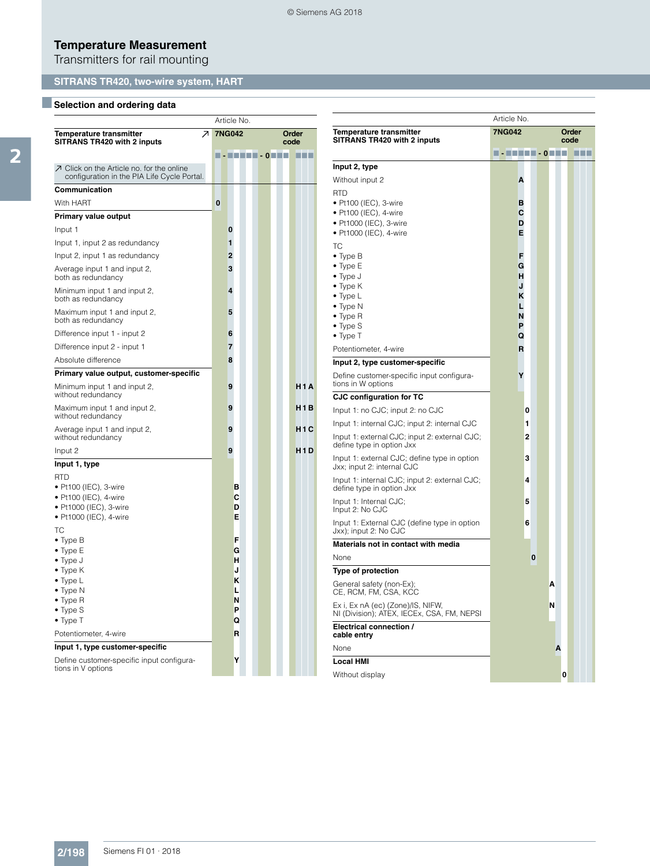Transmitters for rail mounting

# **SITRANS TR420, two-wire system, HART**

# **B** Selection and ordering data

|                                                                                                                                                                                                                                    |          | Article No.                                    |                  |
|------------------------------------------------------------------------------------------------------------------------------------------------------------------------------------------------------------------------------------|----------|------------------------------------------------|------------------|
| $\overline{\phantom{a}}$<br><b>Temperature transmitter</b><br>SITRANS TR420 with 2 inputs                                                                                                                                          |          | <b>7NG042</b>                                  | Order<br>code    |
|                                                                                                                                                                                                                                    |          | <u> - FERRI - ORTH</u>                         | <b>HET</b>       |
| ○ Click on the Article no. for the online<br>configuration in the PIA Life Cycle Portal.                                                                                                                                           |          |                                                |                  |
| Communication                                                                                                                                                                                                                      |          |                                                |                  |
| With HART                                                                                                                                                                                                                          | $\bf{0}$ |                                                |                  |
| <b>Primary value output</b>                                                                                                                                                                                                        |          |                                                |                  |
| Input 1                                                                                                                                                                                                                            |          | 0                                              |                  |
| Input 1, input 2 as redundancy                                                                                                                                                                                                     |          | 1                                              |                  |
| Input 2, input 1 as redundancy                                                                                                                                                                                                     |          | $\overline{2}$                                 |                  |
| Average input 1 and input 2,<br>both as redundancy                                                                                                                                                                                 |          | 3                                              |                  |
| Minimum input 1 and input 2,<br>both as redundancy                                                                                                                                                                                 |          | 4                                              |                  |
| Maximum input 1 and input 2,<br>both as redundancy                                                                                                                                                                                 |          | 5                                              |                  |
| Difference input 1 - input 2                                                                                                                                                                                                       |          | 6                                              |                  |
| Difference input 2 - input 1                                                                                                                                                                                                       |          | 7                                              |                  |
| Absolute difference                                                                                                                                                                                                                |          | 8                                              |                  |
| Primary value output, customer-specific                                                                                                                                                                                            |          |                                                |                  |
| Minimum input 1 and input 2,<br>without redundancy                                                                                                                                                                                 |          | 9                                              | H <sub>1</sub> A |
| Maximum input 1 and input 2,<br>without redundancy                                                                                                                                                                                 |          | 9                                              | H <sub>1</sub> B |
| Average input 1 and input 2,<br>without redundancy                                                                                                                                                                                 |          | 9                                              | H <sub>1</sub> C |
| Input 2                                                                                                                                                                                                                            |          | 9                                              | H <sub>1</sub> D |
| Input 1, type                                                                                                                                                                                                                      |          |                                                |                  |
| <b>RTD</b><br>• Pt100 (IEC), 3-wire<br>• Pt100 (IEC), 4-wire<br>• Pt1000 (IEC), 3-wire<br>• Pt1000 (IEC), 4-wire                                                                                                                   |          | в<br>C<br>D<br>E                               |                  |
| ТC<br>$\bullet$ Type B<br>$\bullet$ Type E<br>$\bullet$ Type J<br>$\bullet$ Type K<br>• Type L<br>$\bullet$ Type N<br>$\bullet$ Type R<br>• Type S<br>$\bullet$ Type T<br>Potentiometer, 4-wire<br>Input 1, type customer-specific |          | F<br>G<br>н<br>J<br>K<br>L<br>N<br>P<br>Q<br>R |                  |
| Define customer-specific input configura-<br>tions in V options                                                                                                                                                                    |          | Υ                                              |                  |

|                                                                                 | Article No.                                                                                                |  |
|---------------------------------------------------------------------------------|------------------------------------------------------------------------------------------------------------|--|
| Temperature transmitter                                                         | <b>7NG042</b><br>Order                                                                                     |  |
| SITRANS TR420 with 2 inputs                                                     | code                                                                                                       |  |
|                                                                                 | $\blacksquare$ - $\blacksquare$ - $\blacksquare$ - $\blacksquare$ - $\lozenge$ - $\blacksquare$ -<br>a a s |  |
| Input 2, type                                                                   |                                                                                                            |  |
| Without input 2                                                                 | Α                                                                                                          |  |
| <b>RTD</b><br>• Pt100 (IEC), 3-wire                                             | в                                                                                                          |  |
| • Pt100 (IEC), 4-wire                                                           | С                                                                                                          |  |
| · Pt1000 (IEC), 3-wire                                                          | D                                                                                                          |  |
| • Pt1000 (IEC), 4-wire                                                          | Е                                                                                                          |  |
| TC                                                                              |                                                                                                            |  |
| $\bullet$ Type B                                                                | F                                                                                                          |  |
| $\bullet$ Type E                                                                | G                                                                                                          |  |
| • Type J                                                                        | н<br>J                                                                                                     |  |
| $\bullet$ Type K<br>$\bullet$ Type L                                            | κ                                                                                                          |  |
| $\bullet$ Type N                                                                |                                                                                                            |  |
| $\bullet$ Type R                                                                | N                                                                                                          |  |
| $\bullet$ Type S                                                                | P                                                                                                          |  |
| $\bullet$ Type T                                                                | Q                                                                                                          |  |
| Potentiometer, 4-wire                                                           | R                                                                                                          |  |
| Input 2, type customer-specific                                                 |                                                                                                            |  |
| Define customer-specific input configura-<br>tions in W options                 | Υ                                                                                                          |  |
| <b>CJC configuration for TC</b>                                                 |                                                                                                            |  |
| Input 1: no CJC; input 2: no CJC                                                | 0                                                                                                          |  |
| Input 1: internal CJC; input 2: internal CJC                                    | 1                                                                                                          |  |
| Input 1: external CJC; input 2: external CJC;<br>define type in option Jxx      | 2                                                                                                          |  |
| Input 1: external CJC; define type in option<br>Jxx; input 2: internal CJC      | 3                                                                                                          |  |
| Input 1: internal CJC; input 2: external CJC;<br>define type in option Jxx      | 4                                                                                                          |  |
| Input 1: Internal CJC;<br>Input 2: No CJC                                       | 5                                                                                                          |  |
| Input 1: External CJC (define type in option<br>Jxx); input 2: No CJC           | 6                                                                                                          |  |
| Materials not in contact with media                                             |                                                                                                            |  |
| None                                                                            | 0                                                                                                          |  |
| <b>Type of protection</b>                                                       |                                                                                                            |  |
| General safety (non-Ex);<br>CE, RCM, FM, CSA, KCC                               | Α                                                                                                          |  |
| Ex i, Ex nA (ec) (Zone)/IS, NIFW,<br>NI (Division); ATEX, IECEx, CSA, FM, NEPSI | Ν                                                                                                          |  |
| Electrical connection /<br>cable entry                                          |                                                                                                            |  |
| None                                                                            | Α                                                                                                          |  |
| <b>Local HMI</b>                                                                |                                                                                                            |  |
| Without display                                                                 | 0                                                                                                          |  |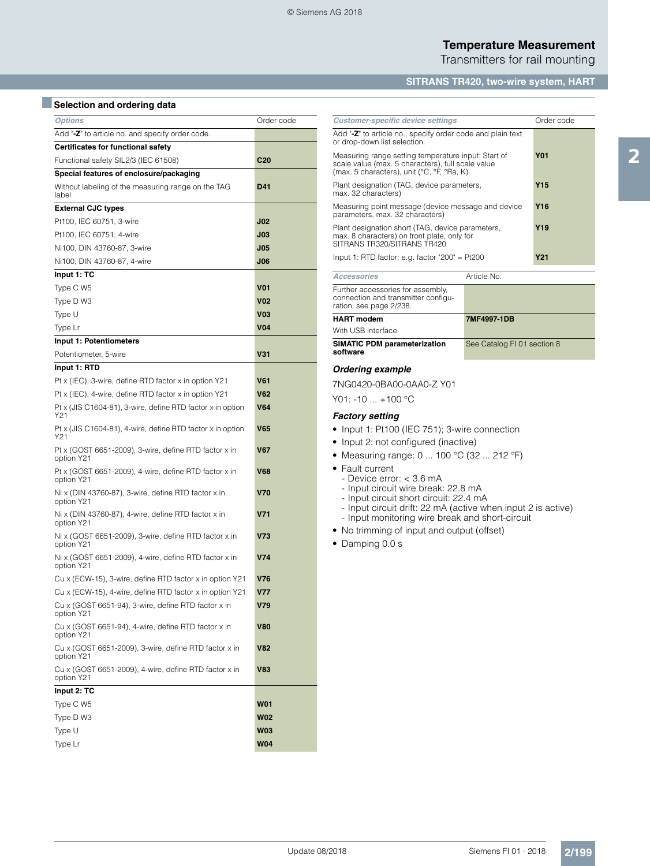Transmitters for rail mounting

## **SITRANS TR420, two-wire system, HART**

# **B** Selection and ordering data

| <b>Options</b>                                                      | Order code      |
|---------------------------------------------------------------------|-----------------|
| Add "-Z" to article no. and specify order code.                     |                 |
| Certificates for functional safety                                  |                 |
| Functional safety SIL2/3 (IEC 61508)                                | C <sub>20</sub> |
| Special features of enclosure/packaging                             |                 |
| Without labeling of the measuring range on the TAG<br>label         | D41             |
| <b>External CJC types</b>                                           |                 |
| Pt100, IEC 60751, 3-wire                                            | JO2             |
| Pt100, IEC 60751, 4-wire                                            | J <sub>03</sub> |
| Ni100, DIN 43760-87, 3-wire                                         | J05             |
| Ni100, DIN 43760-87, 4-wire                                         | <b>J06</b>      |
| Input 1: TC                                                         |                 |
| Type C W5                                                           | V01             |
| Type D W3                                                           | V02             |
| Type U                                                              | VO3             |
| Type Lr                                                             | <b>V04</b>      |
| Input 1: Potentiometers                                             |                 |
| Potentiometer, 5-wire                                               | V31             |
| Input 1: RTD                                                        |                 |
| Pt x (IEC), 3-wire, define RTD factor x in option Y21               | V61             |
| Pt x (IEC), 4-wire, define RTD factor x in option Y21               | V62             |
| Pt x (JIS C1604-81), 3-wire, define RTD factor x in option<br>Y21   | <b>V64</b>      |
| Pt x (JIS C1604-81), 4-wire, define RTD factor x in option<br>Y21   | V65             |
| Pt x (GOST 6651-2009), 3-wire, define RTD factor x in<br>option Y21 | V67             |
| Pt x (GOST 6651-2009), 4-wire, define RTD factor x in<br>option Y21 | V68             |
| Ni x (DIN 43760-87), 3-wire, define RTD factor x in<br>option Y21   | V70             |
| Ni x (DIN 43760-87), 4-wire, define RTD factor x in<br>option Y21   | V71             |
| Ni x (GOST 6651-2009), 3-wire, define RTD factor x in<br>option Y21 | V73             |
| Ni x (GOST 6651-2009), 4-wire, define RTD factor x in<br>option Y21 | V74             |
| Cu x (ECW-15), 3-wire, define RTD factor x in option Y21            | V76             |
| Cu x (ECW-15), 4-wire, define RTD factor x in option Y21            | V77             |
| Cu x (GOST 6651-94), 3-wire, define RTD factor x in<br>option Y21   | V79             |
| Cu x (GOST 6651-94), 4-wire, define RTD factor x in<br>option Y21   | <b>V80</b>      |
| Cu x (GOST 6651-2009), 3-wire, define RTD factor x in<br>option Y21 | <b>V82</b>      |
| Cu x (GOST 6651-2009), 4-wire, define RTD factor x in<br>option Y21 | V83             |
| Input 2: TC                                                         |                 |
| Type C W5                                                           | W01             |
| Type D W3                                                           | W02             |
| Type U                                                              | <b>W03</b>      |
| Type Lr                                                             | <b>W04</b>      |

| <b>Customer-specific device settings</b>                                                                                                               |                 | Order code      |  |  |
|--------------------------------------------------------------------------------------------------------------------------------------------------------|-----------------|-----------------|--|--|
| Add "-Z" to article no., specify order code and plain text<br>or drop-down list selection.                                                             |                 |                 |  |  |
| Measuring range setting temperature input: Start of<br>scale value (max. 5 characters), full scale value<br>(max. 5 characters), unit (°C, °F, °Ra, K) |                 | <b>Y01</b>      |  |  |
| Plant designation (TAG, device parameters,<br>max. 32 characters)                                                                                      |                 | Y <sub>15</sub> |  |  |
| Measuring point message (device message and device<br>parameters, max. 32 characters)                                                                  |                 | Y <sub>16</sub> |  |  |
| Plant designation short (TAG, device parameters,<br>max. 8 characters) on front plate, only for<br>SITRANS TR320/SITRANS TR420                         | Y <sub>19</sub> |                 |  |  |
| Input 1: RTD factor; e.g. factor "200" = $Pt200$                                                                                                       | <b>Y21</b>      |                 |  |  |
| Article No.<br><b>Accessories</b>                                                                                                                      |                 |                 |  |  |
| Further accessories for assembly,<br>connection and transmitter configu-<br>ration, see page 2/238.                                                    |                 |                 |  |  |
| <b>HART</b> modem                                                                                                                                      | 7MF4997-1DB     |                 |  |  |
| With USB interface                                                                                                                                     |                 |                 |  |  |
| SIMATIC PDM parameterization<br>See Catalog FI 01 section 8<br>software                                                                                |                 |                 |  |  |
| <b>Ordering example</b>                                                                                                                                |                 |                 |  |  |
| 7NG0420-0BA00-0AA0-Z Y01                                                                                                                               |                 |                 |  |  |
| Y01: -10  +100 °C                                                                                                                                      |                 |                 |  |  |
| <b>Factory setting</b>                                                                                                                                 |                 |                 |  |  |
| • Input 1: Pt100 (IEC 751); 3-wire connection                                                                                                          |                 |                 |  |  |
|                                                                                                                                                        |                 |                 |  |  |

- Input 2: not configured (inactive)
- Measuring range: 0 ... 100 °C (32 ... 212 °F)
- Fault current
	- Device error: < 3.6 mA
	- Input circuit wire break: 22.8 mA
	- Input circuit short circuit: 22.4 mA
	- Input circuit drift: 22 mA (active when input 2 is active)
- Input monitoring wire break and short-circuit
- No trimming of input and output (offset)
- Damping 0.0 s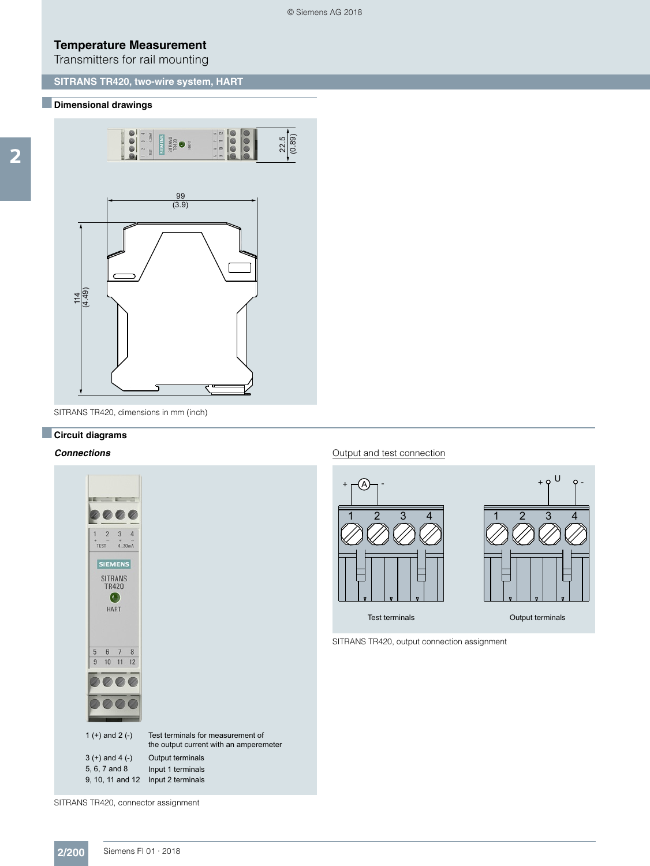Transmitters for rail mounting

## **SITRANS TR420, two-wire system, HART**

#### ■**Dimensional drawings**



SITRANS TR420, dimensions in mm (inch)

# ■**Circuit diagrams**

#### *Connections*



#### Output and test connection



SITRANS TR420, output connection assignment

SITRANS TR420, connector assignment